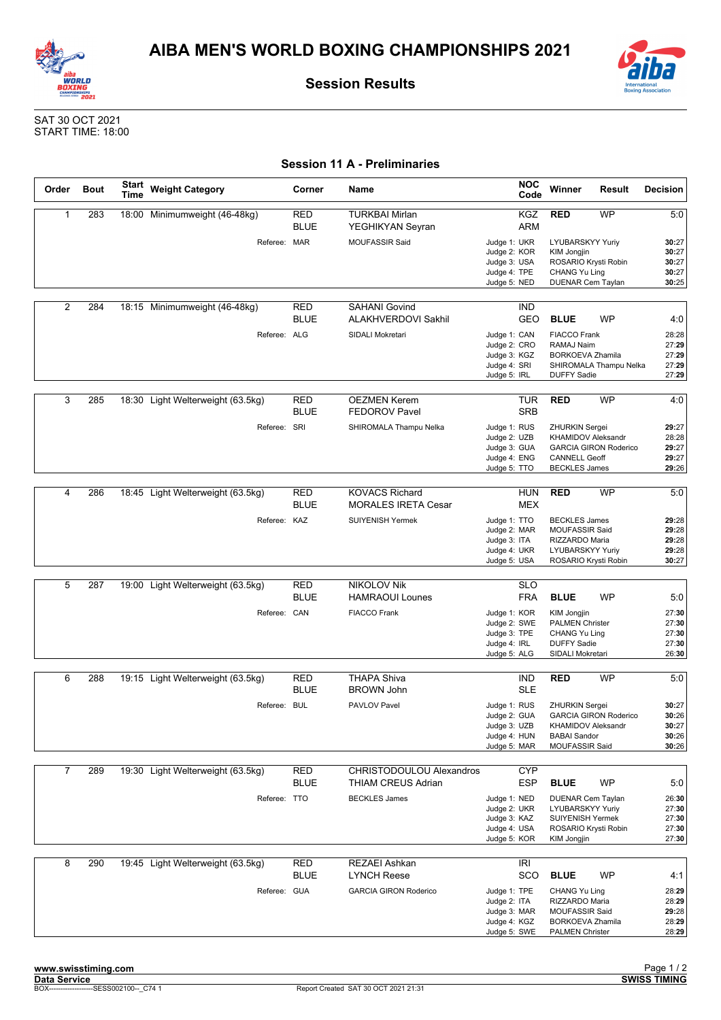



**Session Results**

SAT 30 OCT 2021 START TIME: 18:00

## **Session 11 A - Preliminaries**

| Order | <b>Bout</b> | <b>Start</b><br>Time | <b>Weight Category</b>            | Corner                    | <b>Name</b>                                         | <b>NOC</b><br>Code                                                           | Winner                                                                                                      | Result                       | <b>Decision</b>                           |
|-------|-------------|----------------------|-----------------------------------|---------------------------|-----------------------------------------------------|------------------------------------------------------------------------------|-------------------------------------------------------------------------------------------------------------|------------------------------|-------------------------------------------|
| 1     | 283         |                      | 18:00 Minimumweight (46-48kg)     | RED<br><b>BLUE</b>        | <b>TURKBAI Mirlan</b><br>YEGHIKYAN Seyran           | KGZ<br><b>ARM</b>                                                            | <b>RED</b>                                                                                                  | WP                           | 5:0                                       |
|       |             |                      | Referee: MAR                      |                           | <b>MOUFASSIR Said</b>                               | Judge 1: UKR<br>Judge 2: KOR<br>Judge 3: USA<br>Judge 4: TPE<br>Judge 5: NED | LYUBARSKYY Yuriy<br>KIM Jongjin<br>ROSARIO Krysti Robin<br>CHANG Yu Ling<br><b>DUENAR Cem Taylan</b>        |                              | 30:27<br>30:27<br>30:27<br>30:27<br>30:25 |
| 2     | 284         |                      | 18:15 Minimumweight (46-48kg)     | RED<br><b>BLUE</b>        | <b>SAHANI Govind</b><br><b>ALAKHVERDOVI Sakhil</b>  | <b>IND</b><br><b>GEO</b>                                                     | <b>BLUE</b>                                                                                                 | WP                           | 4:0                                       |
|       |             |                      | Referee: ALG                      |                           | SIDALI Mokretari                                    | Judge 1: CAN<br>Judge 2: CRO<br>Judge 3: KGZ<br>Judge 4: SRI<br>Judge 5: IRL | <b>FIACCO Frank</b><br>RAMAJ Naim<br><b>BORKOEVA Zhamila</b><br><b>DUFFY Sadie</b>                          | SHIROMALA Thampu Nelka       | 28:28<br>27:29<br>27:29<br>27:29<br>27:29 |
| 3     | 285         |                      | 18:30 Light Welterweight (63.5kg) | <b>RED</b><br><b>BLUE</b> | <b>OEZMEN Kerem</b><br><b>FEDOROV Pavel</b>         | TUR<br><b>SRB</b>                                                            | <b>RED</b>                                                                                                  | WP                           | 4:0                                       |
|       |             |                      | Referee: SRI                      |                           | SHIROMALA Thampu Nelka                              | Judge 1: RUS<br>Judge 2: UZB<br>Judge 3: GUA<br>Judge 4: ENG<br>Judge 5: TTO | <b>ZHURKIN Sergei</b><br><b>KHAMIDOV Aleksandr</b><br><b>CANNELL Geoff</b><br><b>BECKLES James</b>          | <b>GARCIA GIRON Roderico</b> | 29:27<br>28:28<br>29:27<br>29:27<br>29:26 |
| 4     | 286         |                      | 18:45 Light Welterweight (63.5kg) | RED<br><b>BLUE</b>        | <b>KOVACS Richard</b><br><b>MORALES IRETA Cesar</b> | HUN<br><b>MEX</b>                                                            | <b>RED</b>                                                                                                  | WP                           | 5:0                                       |
|       |             |                      | Referee: KAZ                      |                           | <b>SUIYENISH Yermek</b>                             | Judge 1: TTO<br>Judge 2: MAR<br>Judge 3: ITA<br>Judge 4: UKR<br>Judge 5: USA | <b>BECKLES James</b><br><b>MOUFASSIR Said</b><br>RIZZARDO Maria<br>LYUBARSKYY Yuriy<br>ROSARIO Krysti Robin |                              | 29:28<br>29:28<br>29:28<br>29:28<br>30:27 |
| 5     | 287         |                      | 19:00 Light Welterweight (63.5kg) | RED                       | <b>NIKOLOV Nik</b>                                  | SLO                                                                          |                                                                                                             |                              |                                           |
|       |             |                      |                                   | <b>BLUE</b>               | <b>HAMRAOUI Lounes</b>                              | <b>FRA</b>                                                                   | <b>BLUE</b>                                                                                                 | WP                           | 5:0                                       |
|       |             |                      | Referee: CAN                      |                           | <b>FIACCO Frank</b>                                 | Judge 1: KOR<br>Judge 2: SWE<br>Judge 3: TPE<br>Judge 4: IRL<br>Judge 5: ALG | KIM Jongjin<br><b>PALMEN Christer</b><br>CHANG Yu Ling<br><b>DUFFY Sadie</b><br>SIDALI Mokretari            |                              | 27:30<br>27:30<br>27:30<br>27:30<br>26:30 |
| 6     | 288         |                      | 19:15 Light Welterweight (63.5kg) | RED                       | <b>THAPA Shiva</b>                                  | ind                                                                          | <b>RED</b>                                                                                                  | WP                           | 5:0                                       |
|       |             |                      |                                   | <b>BLUE</b>               | <b>BROWN John</b>                                   | <b>SLE</b>                                                                   |                                                                                                             |                              |                                           |
|       |             |                      | Referee: BUL                      |                           | PAVLOV Pavel                                        | Judge 1: RUS<br>Judge 2: GUA<br>Judge 3: UZB<br>Judge 4: HUN<br>Judge 5: MAR | <b>ZHURKIN Sergei</b><br>KHAMIDOV Aleksandr<br><b>BABAI Sandor</b><br>MOUFASSIR Said                        | <b>GARCIA GIRON Roderico</b> | 30:27<br>30:26<br>30:27<br>30:26<br>30:26 |
| 7     | 289         |                      | 19:30 Light Welterweight (63.5kg) | RED<br><b>BLUE</b>        | CHRISTODOULOU Alexandros<br>THIAM CREUS Adrian      | CYP<br><b>ESP</b>                                                            | <b>BLUE</b>                                                                                                 | WP                           | 5:0                                       |
|       |             |                      | Referee: TTO                      |                           | <b>BECKLES James</b>                                | Judge 1: NED<br>Judge 2: UKR<br>Judge 3: KAZ<br>Judge 4: USA<br>Judge 5: KOR | <b>DUENAR Cem Taylan</b><br>LYUBARSKYY Yuriy<br>SUIYENISH Yermek<br>ROSARIO Krysti Robin<br>KIM Jongjin     |                              | 26:30<br>27:30<br>27:30<br>27:30<br>27:30 |
| 8     | 290         |                      | 19:45 Light Welterweight (63.5kg) | RED<br><b>BLUE</b>        | <b>REZAEI Ashkan</b><br><b>LYNCH Reese</b>          | IRI<br>SCO                                                                   | <b>BLUE</b>                                                                                                 | WP                           | 4:1                                       |
|       |             |                      | Referee: GUA                      |                           | <b>GARCIA GIRON Roderico</b>                        | Judge 1: TPE<br>Judge 2: ITA<br>Judge 3: MAR<br>Judge 4: KGZ<br>Judge 5: SWE | CHANG Yu Ling<br>RIZZARDO Maria<br>MOUFASSIR Said<br><b>BORKOEVA Zhamila</b><br><b>PALMEN Christer</b>      |                              | 28:29<br>28:29<br>29:28<br>28:29<br>28:29 |